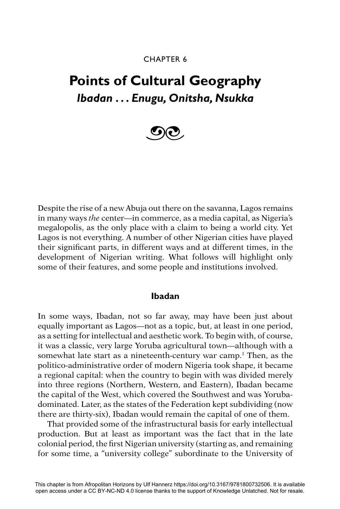## CHAPTER 6

# **Points of Cultural Geography** *Ibadan . . . Enugu, Onitsha, Nsukka*



Despite the rise of a new Abuja out there on the savanna, Lagos remains in many ways *the* center—in commerce, as a media capital, as Nigeria's megalopolis, as the only place with a claim to being a world city. Yet Lagos is not everything. A number of other Nigerian cities have played their significant parts, in different ways and at different times, in the development of Nigerian writing. What follows will highlight only some of their features, and some people and institutions involved.

## **Ibadan**

In some ways, Ibadan, not so far away, may have been just about equally important as Lagos—not as a topic, but, at least in one period, as a setting for intellectual and aesthetic work. To begin with, of course, it was a classic, very large Yoruba agricultural town—although with a somewhat late start as a nineteenth-century war camp.<sup>1</sup> Then, as the politico-administrative order of modern Nigeria took shape, it became a regional capital: when the country to begin with was divided merely into three regions (Northern, Western, and Eastern), Ibadan became the capital of the West, which covered the Southwest and was Yorubadominated. Later, as the states of the Federation kept subdividing (now there are thirty-six), Ibadan would remain the capital of one of them.

That provided some of the infrastructural basis for early intellectual production. But at least as important was the fact that in the late colonial period, the first Nigerian university (starting as, and remaining for some time, a "university college" subordinate to the University of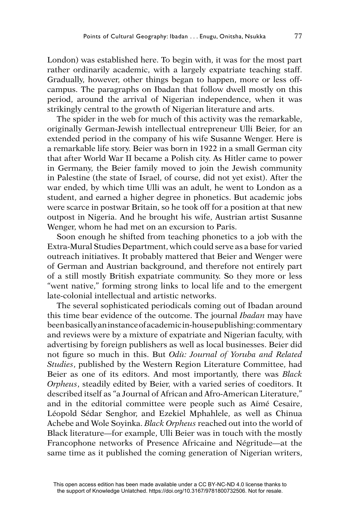London) was established here. To begin with, it was for the most part rather ordinarily academic, with a largely expatriate teaching staff. Gradually, however, other things began to happen, more or less offcampus. The paragraphs on Ibadan that follow dwell mostly on this period, around the arrival of Nigerian independence, when it was strikingly central to the growth of Nigerian literature and arts.

The spider in the web for much of this activity was the remarkable, originally German-Jewish intellectual entrepreneur Ulli Beier, for an extended period in the company of his wife Susanne Wenger. Here is a remarkable life story. Beier was born in 1922 in a small German city that after World War II became a Polish city. As Hitler came to power in Germany, the Beier family moved to join the Jewish community in Palestine (the state of Israel, of course, did not yet exist). After the war ended, by which time Ulli was an adult, he went to London as a student, and earned a higher degree in phonetics. But academic jobs were scarce in postwar Britain, so he took off for a position at that new outpost in Nigeria. And he brought his wife, Austrian artist Susanne Wenger, whom he had met on an excursion to Paris.

Soon enough he shifted from teaching phonetics to a job with the Extra-Mural Studies Department, which could serve as a base for varied outreach initiatives. It probably mattered that Beier and Wenger were of German and Austrian background, and therefore not entirely part of a still mostly British expatriate community. So they more or less "went native," forming strong links to local life and to the emergent late-colonial intellectual and artistic networks.

The several sophisticated periodicals coming out of Ibadan around this time bear evidence of the outcome. The journal *Ibadan* may have been basically an instance of academic in-house publishing: commentary and reviews were by a mixture of expatriate and Nigerian faculty, with advertising by foreign publishers as well as local businesses. Beier did not figure so much in this. But *Odù: Journal of Yoruba and Related Studies*, published by the Western Region Literature Committee, had Beier as one of its editors. And most importantly, there was *Black Orpheus*, steadily edited by Beier, with a varied series of coeditors. It described itself as "a Journal of African and Afro-American Literature," and in the editorial committee were people such as Aimé Cesaire, Léopold Sédar Senghor, and Ezekiel Mphahlele, as well as Chinua Achebe and Wole Soyinka. *Black Orpheus* reached out into the world of Black literature—for example, Ulli Beier was in touch with the mostly Francophone networks of Presence Africaine and Négritude—at the same time as it published the coming generation of Nigerian writers,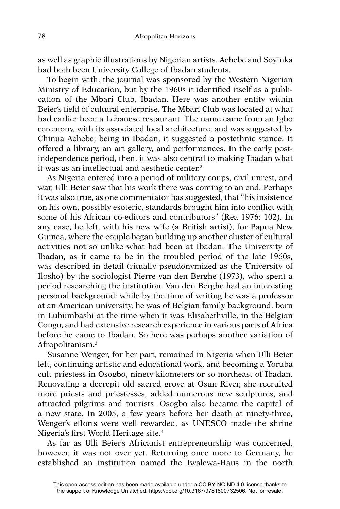as well as graphic illustrations by Nigerian artists. Achebe and Soyinka had both been University College of Ibadan students.

To begin with, the journal was sponsored by the Western Nigerian Ministry of Education, but by the 1960s it identified itself as a publication of the Mbari Club, Ibadan. Here was another entity within Beier's field of cultural enterprise. The Mbari Club was located at what had earlier been a Lebanese restaurant. The name came from an Igbo ceremony, with its associated local architecture, and was suggested by Chinua Achebe; being in Ibadan, it suggested a postethnic stance. It offered a library, an art gallery, and performances. In the early postindependence period, then, it was also central to making Ibadan what it was as an intellectual and aesthetic center.<sup>2</sup>

As Nigeria entered into a period of military coups, civil unrest, and war, Ulli Beier saw that his work there was coming to an end. Perhaps it was also true, as one commentator has suggested, that "his insistence on his own, possibly esoteric, standards brought him into conflict with some of his African co-editors and contributors" (Rea 1976: 102). In any case, he left, with his new wife (a British artist), for Papua New Guinea, where the couple began building up another cluster of cultural activities not so unlike what had been at Ibadan. The University of Ibadan, as it came to be in the troubled period of the late 1960s, was described in detail (ritually pseudonymized as the University of Ilosho) by the sociologist Pierre van den Berghe (1973), who spent a period researching the institution. Van den Berghe had an interesting personal background: while by the time of writing he was a professor at an American university, he was of Belgian family background, born in Lubumbashi at the time when it was Elisabethville, in the Belgian Congo, and had extensive research experience in various parts of Africa before he came to Ibadan. So here was perhaps another variation of Afropolitanism.3

Susanne Wenger, for her part, remained in Nigeria when Ulli Beier left, continuing artistic and educational work, and becoming a Yoruba cult priestess in Osogbo, ninety kilometers or so northeast of Ibadan. Renovating a decrepit old sacred grove at Osun River, she recruited more priests and priestesses, added numerous new sculptures, and attracted pilgrims and tourists. Osogbo also became the capital of a new state. In 2005, a few years before her death at ninety-three, Wenger's efforts were well rewarded, as UNESCO made the shrine Nigeria's first World Heritage site.<sup>4</sup>

As far as Ulli Beier's Africanist entrepreneurship was concerned, however, it was not over yet. Returning once more to Germany, he established an institution named the Iwalewa-Haus in the north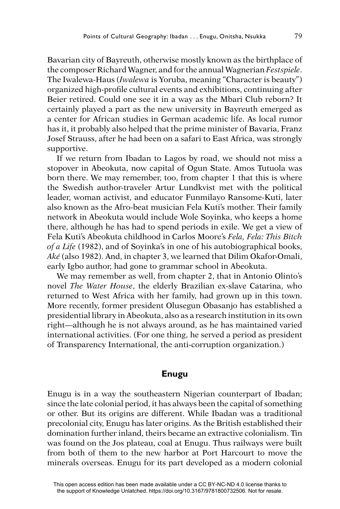Bavarian city of Bayreuth, otherwise mostly known as the birthplace of the composer Richard Wagner, and for the annual Wagnerian *Festspiele*. The Iwalewa-Haus (*Iwalewa* is Yoruba, meaning "Character is beauty") organized high-profile cultural events and exhibitions, continuing after Beier retired. Could one see it in a way as the Mbari Club reborn? It certainly played a part as the new university in Bayreuth emerged as a center for African studies in German academic life. As local rumor has it, it probably also helped that the prime minister of Bavaria, Franz Josef Strauss, after he had been on a safari to East Africa, was strongly supportive.

If we return from Ibadan to Lagos by road, we should not miss a stopover in Abeokuta, now capital of Ogun State. Amos Tutuola was born there. We may remember, too, from chapter 1 that this is where the Swedish author-traveler Artur Lundkvist met with the political leader, woman activist, and educator Funmilayo Ransome-Kuti, later also known as the Afro-beat musician Fela Kuti's mother. Their family network in Abeokuta would include Wole Soyinka, who keeps a home there, although he has had to spend periods in exile. We get a view of Fela Kuti's Abeokuta childhood in Carlos Moore's *Fela, Fela: This Bitch of a Life* (1982), and of Soyinka's in one of his autobiographical books, *Aké* (also 1982). And, in chapter 3, we learned that Dilim Okafor-Omali, early Igbo author, had gone to grammar school in Abeokuta.

We may remember as well, from chapter 2, that in Antonio Olinto's novel *The Water House*, the elderly Brazilian ex-slave Catarina, who returned to West Africa with her family, had grown up in this town. More recently, former president Olusegun Obasanjo has established a presidential library in Abeokuta, also as a research institution in its own right—although he is not always around, as he has maintained varied international activities. (For one thing, he served a period as president of Transparency International, the anti-corruption organization.)

#### **Enugu**

Enugu is in a way the southeastern Nigerian counterpart of Ibadan; since the late colonial period, it has always been the capital of something or other. But its origins are different. While Ibadan was a traditional precolonial city, Enugu has later origins. As the British established their domination further inland, theirs became an extractive colonialism. Tin was found on the Jos plateau, coal at Enugu. Thus railways were built from both of them to the new harbor at Port Harcourt to move the minerals overseas. Enugu for its part developed as a modern colonial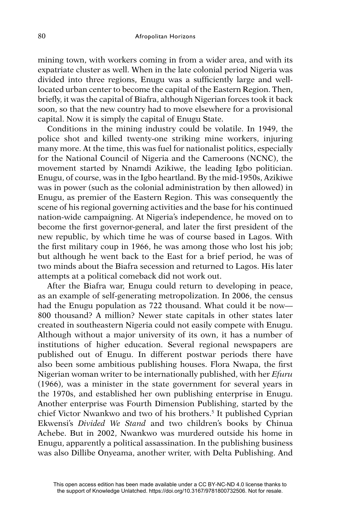mining town, with workers coming in from a wider area, and with its expatriate cluster as well. When in the late colonial period Nigeria was divided into three regions, Enugu was a sufficiently large and welllocated urban center to become the capital of the Eastern Region. Then, briefly, it was the capital of Biafra, although Nigerian forces took it back soon, so that the new country had to move elsewhere for a provisional capital. Now it is simply the capital of Enugu State.

Conditions in the mining industry could be volatile. In 1949, the police shot and killed twenty-one striking mine workers, injuring many more. At the time, this was fuel for nationalist politics, especially for the National Council of Nigeria and the Cameroons (NCNC), the movement started by Nnamdi Azikiwe, the leading Igbo politician. Enugu, of course, was in the Igbo heartland. By the mid-1950s, Azikiwe was in power (such as the colonial administration by then allowed) in Enugu, as premier of the Eastern Region. This was consequently the scene of his regional governing activities and the base for his continued nation-wide campaigning. At Nigeria's independence, he moved on to become the first governor-general, and later the first president of the new republic, by which time he was of course based in Lagos. With the first military coup in 1966, he was among those who lost his job; but although he went back to the East for a brief period, he was of two minds about the Biafra secession and returned to Lagos. His later attempts at a political comeback did not work out.

After the Biafra war, Enugu could return to developing in peace, as an example of self-generating metropolization. In 2006, the census had the Enugu population as 722 thousand. What could it be now— 800 thousand? A million? Newer state capitals in other states later created in southeastern Nigeria could not easily compete with Enugu. Although without a major university of its own, it has a number of institutions of higher education. Several regional newspapers are published out of Enugu. In different postwar periods there have also been some ambitious publishing houses. Flora Nwapa, the first Nigerian woman writer to be internationally published, with her *Efuru*  (1966), was a minister in the state government for several years in the 1970s, and established her own publishing enterprise in Enugu. Another enterprise was Fourth Dimension Publishing, started by the chief Victor Nwankwo and two of his brothers.5 It published Cyprian Ekwensi's *Divided We Stand* and two children's books by Chinua Achebe. But in 2002, Nwankwo was murdered outside his home in Enugu, apparently a political assassination. In the publishing business was also Dillibe Onyeama, another writer, with Delta Publishing. And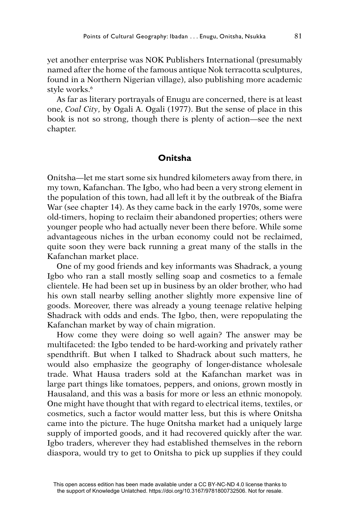yet another enterprise was NOK Publishers International (presumably named after the home of the famous antique Nok terracotta sculptures, found in a Northern Nigerian village), also publishing more academic style works.<sup>6</sup>

As far as literary portrayals of Enugu are concerned, there is at least one, *Coal City*, by Ogali A. Ogali (1977). But the sense of place in this book is not so strong, though there is plenty of action—see the next chapter.

## **Onitsha**

Onitsha—let me start some six hundred kilometers away from there, in my town, Kafanchan. The Igbo, who had been a very strong element in the population of this town, had all left it by the outbreak of the Biafra War (see chapter 14). As they came back in the early 1970s, some were old-timers, hoping to reclaim their abandoned properties; others were younger people who had actually never been there before. While some advantageous niches in the urban economy could not be reclaimed, quite soon they were back running a great many of the stalls in the Kafanchan market place.

One of my good friends and key informants was Shadrack, a young Igbo who ran a stall mostly selling soap and cosmetics to a female clientele. He had been set up in business by an older brother, who had his own stall nearby selling another slightly more expensive line of goods. Moreover, there was already a young teenage relative helping Shadrack with odds and ends. The Igbo, then, were repopulating the Kafanchan market by way of chain migration.

How come they were doing so well again? The answer may be multifaceted: the Igbo tended to be hard-working and privately rather spendthrift. But when I talked to Shadrack about such matters, he would also emphasize the geography of longer-distance wholesale trade. What Hausa traders sold at the Kafanchan market was in large part things like tomatoes, peppers, and onions, grown mostly in Hausaland, and this was a basis for more or less an ethnic monopoly. One might have thought that with regard to electrical items, textiles, or cosmetics, such a factor would matter less, but this is where Onitsha came into the picture. The huge Onitsha market had a uniquely large supply of imported goods, and it had recovered quickly after the war. Igbo traders, wherever they had established themselves in the reborn diaspora, would try to get to Onitsha to pick up supplies if they could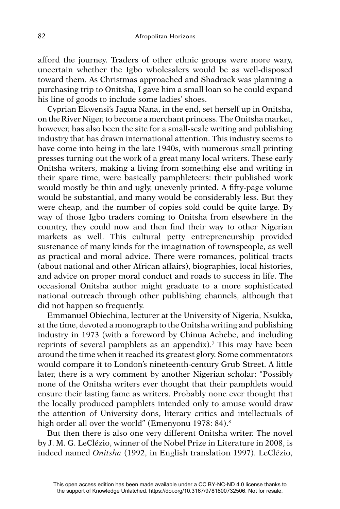afford the journey. Traders of other ethnic groups were more wary, uncertain whether the Igbo wholesalers would be as well-disposed toward them. As Christmas approached and Shadrack was planning a purchasing trip to Onitsha, I gave him a small loan so he could expand his line of goods to include some ladies' shoes.

Cyprian Ekwensi's Jagua Nana, in the end, set herself up in Onitsha, on the River Niger, to become a merchant princess. The Onitsha market, however, has also been the site for a small-scale writing and publishing industry that has drawn international attention. This industry seems to have come into being in the late 1940s, with numerous small printing presses turning out the work of a great many local writers. These early Onitsha writers, making a living from something else and writing in their spare time, were basically pamphleteers: their published work would mostly be thin and ugly, unevenly printed. A fifty-page volume would be substantial, and many would be considerably less. But they were cheap, and the number of copies sold could be quite large. By way of those Igbo traders coming to Onitsha from elsewhere in the country, they could now and then find their way to other Nigerian markets as well. This cultural petty entrepreneurship provided sustenance of many kinds for the imagination of townspeople, as well as practical and moral advice. There were romances, political tracts (about national and other African affairs), biographies, local histories, and advice on proper moral conduct and roads to success in life. The occasional Onitsha author might graduate to a more sophisticated national outreach through other publishing channels, although that did not happen so frequently.

Emmanuel Obiechina, lecturer at the University of Nigeria, Nsukka, at the time, devoted a monograph to the Onitsha writing and publishing industry in 1973 (with a foreword by Chinua Achebe, and including reprints of several pamphlets as an appendix).<sup>7</sup> This may have been around the time when it reached its greatest glory. Some commentators would compare it to London's nineteenth-century Grub Street. A little later, there is a wry comment by another Nigerian scholar: "Possibly none of the Onitsha writers ever thought that their pamphlets would ensure their lasting fame as writers. Probably none ever thought that the locally produced pamphlets intended only to amuse would draw the attention of University dons, literary critics and intellectuals of high order all over the world" (Emenyonu 1978: 84).<sup>8</sup>

But then there is also one very different Onitsha writer. The novel by J. M. G. LeClézio, winner of the Nobel Prize in Literature in 2008, is indeed named *Onitsha* (1992, in English translation 1997). LeClézio,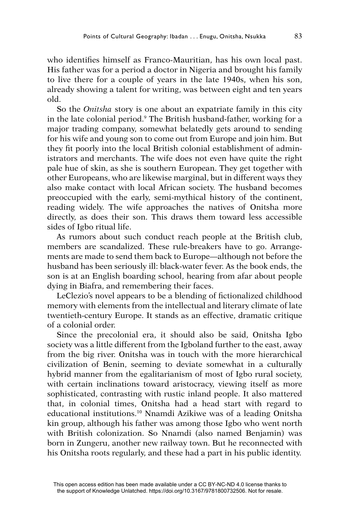who identifies himself as Franco-Mauritian, has his own local past. His father was for a period a doctor in Nigeria and brought his family to live there for a couple of years in the late 1940s, when his son, already showing a talent for writing, was between eight and ten years old.

So the *Onitsha* story is one about an expatriate family in this city in the late colonial period.9 The British husband-father, working for a major trading company, somewhat belatedly gets around to sending for his wife and young son to come out from Europe and join him. But they fit poorly into the local British colonial establishment of administrators and merchants. The wife does not even have quite the right pale hue of skin, as she is southern European. They get together with other Europeans, who are likewise marginal, but in different ways they also make contact with local African society. The husband becomes preoccupied with the early, semi-mythical history of the continent, reading widely. The wife approaches the natives of Onitsha more directly, as does their son. This draws them toward less accessible sides of Igbo ritual life.

As rumors about such conduct reach people at the British club, members are scandalized. These rule-breakers have to go. Arrangements are made to send them back to Europe—although not before the husband has been seriously ill: black-water fever. As the book ends, the son is at an English boarding school, hearing from afar about people dying in Biafra, and remembering their faces.

LeClezio's novel appears to be a blending of fictionalized childhood memory with elements from the intellectual and literary climate of late twentieth-century Europe. It stands as an effective, dramatic critique of a colonial order.

Since the precolonial era, it should also be said, Onitsha Igbo society was a little different from the Igboland further to the east, away from the big river. Onitsha was in touch with the more hierarchical civilization of Benin, seeming to deviate somewhat in a culturally hybrid manner from the egalitarianism of most of Igbo rural society, with certain inclinations toward aristocracy, viewing itself as more sophisticated, contrasting with rustic inland people. It also mattered that, in colonial times, Onitsha had a head start with regard to educational institutions.10 Nnamdi Azikiwe was of a leading Onitsha kin group, although his father was among those Igbo who went north with British colonization. So Nnamdi (also named Benjamin) was born in Zungeru, another new railway town. But he reconnected with his Onitsha roots regularly, and these had a part in his public identity.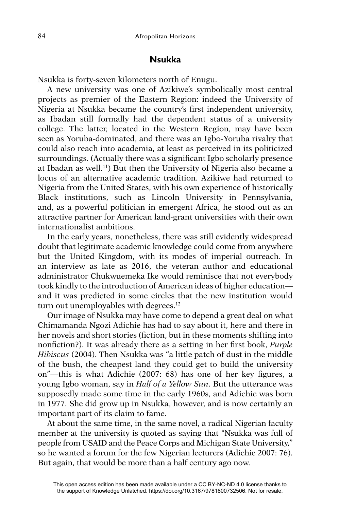## **Nsukka**

Nsukka is forty-seven kilometers north of Enugu.

A new university was one of Azikiwe's symbolically most central projects as premier of the Eastern Region: indeed the University of Nigeria at Nsukka became the country's first independent university, as Ibadan still formally had the dependent status of a university college. The latter, located in the Western Region, may have been seen as Yoruba-dominated, and there was an Igbo-Yoruba rivalry that could also reach into academia, at least as perceived in its politicized surroundings. (Actually there was a significant Igbo scholarly presence at Ibadan as well.11) But then the University of Nigeria also became a locus of an alternative academic tradition. Azikiwe had returned to Nigeria from the United States, with his own experience of historically Black institutions, such as Lincoln University in Pennsylvania, and, as a powerful politician in emergent Africa, he stood out as an attractive partner for American land-grant universities with their own internationalist ambitions.

In the early years, nonetheless, there was still evidently widespread doubt that legitimate academic knowledge could come from anywhere but the United Kingdom, with its modes of imperial outreach. In an interview as late as 2016, the veteran author and educational administrator Chukwuemeka Ike would reminisce that not everybody took kindly to the introduction of American ideas of higher education and it was predicted in some circles that the new institution would turn out unemployables with degrees.<sup>12</sup>

Our image of Nsukka may have come to depend a great deal on what Chimamanda Ngozi Adichie has had to say about it, here and there in her novels and short stories (fiction, but in these moments shifting into nonfiction?). It was already there as a setting in her first book, *Purple Hibiscus* (2004). Then Nsukka was "a little patch of dust in the middle of the bush, the cheapest land they could get to build the university on"—this is what Adichie  $(2007: 68)$  has one of her key figures, a young Igbo woman, say in *Half of a Yellow Sun*. But the utterance was supposedly made some time in the early 1960s, and Adichie was born in 1977. She did grow up in Nsukka, however, and is now certainly an important part of its claim to fame.

At about the same time, in the same novel, a radical Nigerian faculty member at the university is quoted as saying that "Nsukka was full of people from USAID and the Peace Corps and Michigan State University," so he wanted a forum for the few Nigerian lecturers (Adichie 2007: 76). But again, that would be more than a half century ago now.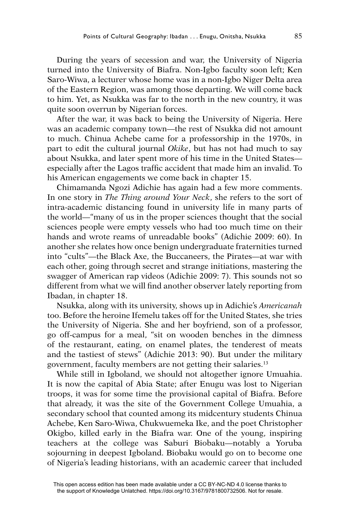During the years of secession and war, the University of Nigeria turned into the University of Biafra. Non-Igbo faculty soon left; Ken Saro-Wiwa, a lecturer whose home was in a non-Igbo Niger Delta area of the Eastern Region, was among those departing. We will come back to him. Yet, as Nsukka was far to the north in the new country, it was quite soon overrun by Nigerian forces.

After the war, it was back to being the University of Nigeria. Here was an academic company town—the rest of Nsukka did not amount to much. Chinua Achebe came for a professorship in the 1970s, in part to edit the cultural journal *Okike*, but has not had much to say about Nsukka, and later spent more of his time in the United States especially after the Lagos traffic accident that made him an invalid. To his American engagements we come back in chapter 15.

Chimamanda Ngozi Adichie has again had a few more comments. In one story in *The Thing around Your Neck*, she refers to the sort of intra-academic distancing found in university life in many parts of the world—"many of us in the proper sciences thought that the social sciences people were empty vessels who had too much time on their hands and wrote reams of unreadable books" (Adichie 2009: 60). In another she relates how once benign undergraduate fraternities turned into "cults"—the Black Axe, the Buccaneers, the Pirates—at war with each other, going through secret and strange initiations, mastering the swagger of American rap videos (Adichie 2009: 7). This sounds not so different from what we will find another observer lately reporting from Ibadan, in chapter 18.

Nsukka, along with its university, shows up in Adichie's *Americanah* too. Before the heroine Ifemelu takes off for the United States, she tries the University of Nigeria. She and her boyfriend, son of a professor, go off-campus for a meal, "sit on wooden benches in the dimness of the restaurant, eating, on enamel plates, the tenderest of meats and the tastiest of stews" (Adichie 2013: 90). But under the military government, faculty members are not getting their salaries.13

While still in Igboland, we should not altogether ignore Umuahia. It is now the capital of Abia State; after Enugu was lost to Nigerian troops, it was for some time the provisional capital of Biafra. Before that already, it was the site of the Government College Umuahia, a secondary school that counted among its midcentury students Chinua Achebe, Ken Saro-Wiwa, Chukwuemeka Ike, and the poet Christopher Okigbo, killed early in the Biafra war. One of the young, inspiring teachers at the college was Saburi Biobaku—notably a Yoruba sojourning in deepest Igboland. Biobaku would go on to become one of Nigeria's leading historians, with an academic career that included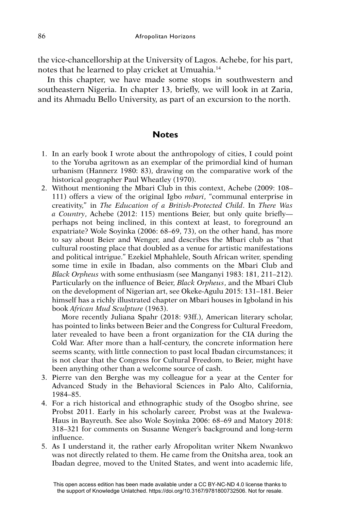the vice-chancellorship at the University of Lagos. Achebe, for his part, notes that he learned to play cricket at Umuahia.14

In this chapter, we have made some stops in southwestern and southeastern Nigeria. In chapter 13, briefly, we will look in at Zaria, and its Ahmadu Bello University, as part of an excursion to the north.

## **Notes**

- 1. In an early book I wrote about the anthropology of cities, I could point to the Yoruba agritown as an exemplar of the primordial kind of human urbanism (Hannerz 1980: 83), drawing on the comparative work of the historical geographer Paul Wheatley (1970).
- 2. Without mentioning the Mbari Club in this context, Achebe (2009: 108– 111) offers a view of the original Igbo *mbari*, "communal enterprise in creativity," in *The Education of a British-Protected Child*. In *There Was a Country*, Achebe (2012: 115) mentions Beier, but only quite brieflyperhaps not being inclined, in this context at least, to foreground an expatriate? Wole Soyinka (2006: 68–69, 73), on the other hand, has more to say about Beier and Wenger, and describes the Mbari club as "that cultural roosting place that doubled as a venue for artistic manifestations and political intrigue." Ezekiel Mphahlele, South African writer, spending some time in exile in Ibadan, also comments on the Mbari Club and *Black Orpheus* with some enthusiasm (see Manganyi 1983: 181, 211–212). Particularly on the influence of Beier, *Black Orpheus*, and the Mbari Club on the development of Nigerian art, see Okeke-Agulu 2015: 131–181. Beier himself has a richly illustrated chapter on Mbari houses in Igboland in his book *African Mud Sculpture* (1963).

More recently Juliana Spahr (2018: 93ff.), American literary scholar, has pointed to links between Beier and the Congress for Cultural Freedom, later revealed to have been a front organization for the CIA during the Cold War. After more than a half-century, the concrete information here seems scanty, with little connection to past local Ibadan circumstances; it is not clear that the Congress for Cultural Freedom, to Beier, might have been anything other than a welcome source of cash.

- 3. Pierre van den Berghe was my colleague for a year at the Center for Advanced Study in the Behavioral Sciences in Palo Alto, California, 1984–85.
- 4. For a rich historical and ethnographic study of the Osogbo shrine, see Probst 2011. Early in his scholarly career, Probst was at the Iwalewa-Haus in Bayreuth. See also Wole Soyinka 2006: 68–69 and Matory 2018: 318–321 for comments on Susanne Wenger's background and long-term influence.
- 5. As I understand it, the rather early Afropolitan writer Nkem Nwankwo was not directly related to them. He came from the Onitsha area, took an Ibadan degree, moved to the United States, and went into academic life,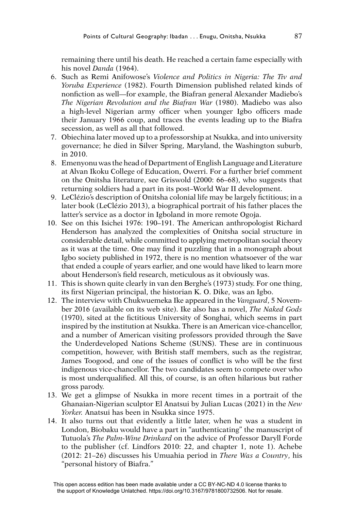remaining there until his death. He reached a certain fame especially with his novel *Danda* (1964).

- 6. Such as Remi Anifowose's *Violence and Politics in Nigeria: The Tiv and Yoruba Experience* (1982). Fourth Dimension published related kinds of nonfiction as well—for example, the Biafran general Alexander Madiebo's *The Nigerian Revolution and the Biafran War* (1980). Madiebo was also a high-level Nigerian army officer when younger Igbo officers made their January 1966 coup, and traces the events leading up to the Biafra secession, as well as all that followed.
- 7. Obiechina later moved up to a professorship at Nsukka, and into university governance; he died in Silver Spring, Maryland, the Washington suburb, in 2010.
- 8. Emenyonu was the head of Department of English Language and Literature at Alvan Ikoku College of Education, Owerri. For a further brief comment on the Onitsha literature, see Griswold (2000: 66–68), who suggests that returning soldiers had a part in its post–World War II development.
- 9. LeClézio's description of Onitsha colonial life may be largely fictitious; in a later book (LeClézio 2013), a biographical portrait of his father places the latter's service as a doctor in Igboland in more remote Ogoja.
- 10. See on this Isichei 1976: 190–191. The American anthropologist Richard Henderson has analyzed the complexities of Onitsha social structure in considerable detail, while committed to applying metropolitan social theory as it was at the time. One may find it puzzling that in a monograph about Igbo society published in 1972, there is no mention whatsoever of the war that ended a couple of years earlier, and one would have liked to learn more about Henderson's field research, meticulous as it obviously was.
- 11. This is shown quite clearly in van den Berghe's (1973) study. For one thing, its first Nigerian principal, the historian K. O. Dike, was an Igbo.
- 12. The interview with Chukwuemeka Ike appeared in the *Vanguard*, 5 November 2016 (available on its web site). Ike also has a novel, *The Naked Gods*  (1970), sited at the fictitious University of Songhai, which seems in part inspired by the institution at Nsukka. There is an American vice-chancellor, and a number of American visiting professors provided through the Save the Underdeveloped Nations Scheme (SUNS). These are in continuous competition, however, with British staff members, such as the registrar, James Toogood, and one of the issues of conflict is who will be the first indigenous vice-chancellor. The two candidates seem to compete over who is most underqualified. All this, of course, is an often hilarious but rather gross parody.
- 13. We get a glimpse of Nsukka in more recent times in a portrait of the Ghanaian-Nigerian sculptor El Anatsui by Julian Lucas (2021) in the *New Yorker.* Anatsui has been in Nsukka since 1975.
- 14. It also turns out that evidently a little later, when he was a student in London, Biobaku would have a part in "authenticating" the manuscript of Tutuola's *The Palm-Wine Drinkard* on the advice of Professor Daryll Forde to the publisher (cf. Lindfors 2010: 22, and chapter 1, note 1). Achebe (2012: 21–26) discusses his Umuahia period in *There Was a Country*, his "personal history of Biafra."

This open access edition has been made available under a CC BY-NC-ND 4.0 license thanks to the support of Knowledge Unlatched. https://doi.org/10.3167/9781800732506. Not for resale.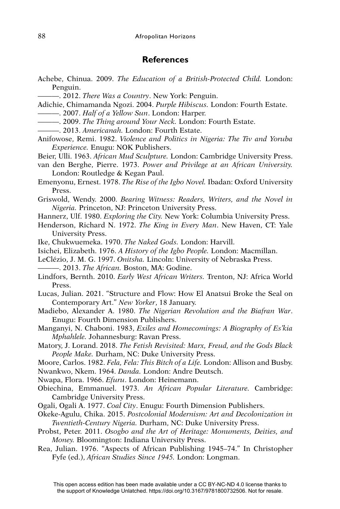#### **References**

- Achebe, Chinua. 2009. *The Education of a British-Protected Child.* London: Penguin.
	- ———. 2012. *There Was a Country*. New York: Penguin.
- Adichie, Chimamanda Ngozi. 2004. *Purple Hibiscus.* London: Fourth Estate.
- ———. 2007. *Half of a Yellow Sun*. London: Harper.
- ———. 2009. *The Thing around Your Neck.* London: Fourth Estate.
- ———. 2013. *Americanah.* London: Fourth Estate.
- Anifowose, Remi. 1982. *Violence and Politics in Nigeria: The Tiv and Yoruba Experience.* Enugu: NOK Publishers.
- Beier, Ulli. 1963. *African Mud Sculpture.* London: Cambridge University Press.
- van den Berghe, Pierre. 1973. *Power and Privilege at an African University.*  London: Routledge & Kegan Paul.
- Emenyonu, Ernest. 1978. *The Rise of the Igbo Novel.* Ibadan: Oxford University Press.
- Griswold, Wendy. 2000. *Bearing Witness: Readers, Writers, and the Novel in Nigeria.* Princeton, NJ: Princeton University Press.
- Hannerz, Ulf. 1980. *Exploring the City.* New York: Columbia University Press.
- Henderson, Richard N. 1972. *The King in Every Man*. New Haven, CT: Yale University Press.
- Ike, Chukwuemeka. 1970. *The Naked Gods.* London: Harvill.
- Isichei, Elizabeth. 1976. *A History of the Igbo People.* London: Macmillan.
- LeClézio, J. M. G. 1997. *Onitsha.* Lincoln: University of Nebraska Press.
- ———. 2013. *The African.* Boston, MA: Godine.
- Lindfors, Bernth. 2010. *Early West African Writers.* Trenton, NJ: Africa World Press.
- Lucas, Julian. 2021. "Structure and Flow: How El Anatsui Broke the Seal on Contemporary Art." *New Yorker*, 18 January.
- Madiebo, Alexander A. 1980. *The Nigerian Revolution and the Biafran War*. Enugu: Fourth Dimension Publishers.
- Manganyi, N. Chaboni. 1983, *Exiles and Homecomings: A Biography of Es'kia Mphahlele.* Johannesburg: Ravan Press.
- Matory, J. Lorand. 2018. *The Fetish Revisited: Marx, Freud, and the Gods Black People Make.* Durham, NC: Duke University Press.
- Moore, Carlos. 1982. *Fela, Fela: This Bitch of a Life.* London: Allison and Busby. Nwankwo, Nkem. 1964. *Danda.* London: Andre Deutsch.
- Nwapa, Flora. 1966. *Efuru*. London: Heinemann.
- Obiechina, Emmanuel. 1973. *An African Popular Literature.* Cambridge: Cambridge University Press.
- Ogali, Ogali A. 1977. *Coal City*. Enugu: Fourth Dimension Publishers.
- Okeke-Agulu, Chika. 2015. *Postcolonial Modernism: Art and Decolonization in Twentieth-Century Nigeria.* Durham, NC: Duke University Press.
- Probst, Peter. 2011. *Osogbo and the Art of Heritage: Monuments, Deities, and Money.* Bloomington: Indiana University Press.
- Rea, Julian. 1976. "Aspects of African Publishing 1945–74." In Christopher Fyfe (ed.), *African Studies Since 1945.* London: Longman.